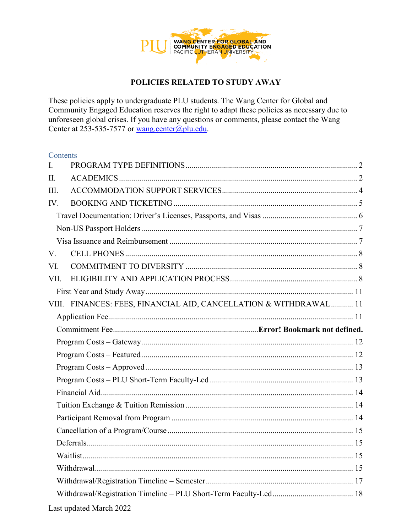

These policies apply to undergraduate PLU students. The Wang Center for Global and Community Engaged Education reserves the right to adapt these policies as necessary due to unforeseen global crises. If you have any questions or comments, please contact the Wang Center at 253-535-7577 or wang.center@plu.edu.

#### Contents

| $\mathbf{I}$ . |                                                                   |  |  |  |
|----------------|-------------------------------------------------------------------|--|--|--|
| II.            |                                                                   |  |  |  |
| III.           |                                                                   |  |  |  |
| IV.            |                                                                   |  |  |  |
|                |                                                                   |  |  |  |
|                |                                                                   |  |  |  |
|                |                                                                   |  |  |  |
| V.             |                                                                   |  |  |  |
| VI.            |                                                                   |  |  |  |
| VII.           |                                                                   |  |  |  |
|                |                                                                   |  |  |  |
|                | VIII. FINANCES: FEES, FINANCIAL AID, CANCELLATION & WITHDRAWAL 11 |  |  |  |
|                |                                                                   |  |  |  |
|                |                                                                   |  |  |  |
|                |                                                                   |  |  |  |
|                |                                                                   |  |  |  |
|                |                                                                   |  |  |  |
|                |                                                                   |  |  |  |
|                |                                                                   |  |  |  |
|                |                                                                   |  |  |  |
|                |                                                                   |  |  |  |
|                |                                                                   |  |  |  |
|                |                                                                   |  |  |  |
|                |                                                                   |  |  |  |
|                |                                                                   |  |  |  |
|                |                                                                   |  |  |  |
|                |                                                                   |  |  |  |
|                |                                                                   |  |  |  |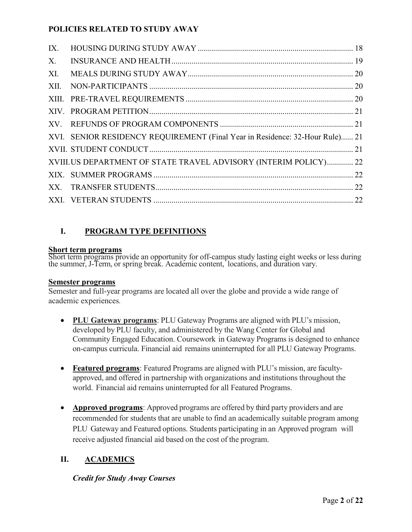| IX.         |                                                                              |  |
|-------------|------------------------------------------------------------------------------|--|
| $X_{\cdot}$ |                                                                              |  |
| XI.         |                                                                              |  |
| XII.        |                                                                              |  |
|             |                                                                              |  |
|             |                                                                              |  |
|             |                                                                              |  |
|             | XVI. SENIOR RESIDENCY REQUIREMENT (Final Year in Residence: 32-Hour Rule) 21 |  |
|             |                                                                              |  |
|             | XVIII.US DEPARTMENT OF STATE TRAVEL ADVISORY (INTERIM POLICY) 22             |  |
|             |                                                                              |  |
|             |                                                                              |  |
|             |                                                                              |  |

# <span id="page-1-0"></span>**I. PROGRAM TYPE DEFINITIONS**

#### **Short term programs**

Short term programs provide an opportunity for off-campus study lasting eight weeks or less during<br>the summer, J-Term, or spring break. Academic content, locations, and duration vary.

#### **Semester programs**

Semester and full-year programs are located all over the globe and provide a wide range of academic experiences*.* 

- **PLU Gateway programs**: PLU Gateway Programs are aligned with PLU's mission, developed by PLU faculty, and administered by the Wang Center for Global and Community Engaged Education. Coursework in Gateway Programs is designed to enhance on-campus curricula. Financial aid remains uninterrupted for all PLU Gateway Programs.
- **Featured programs**: Featured Programs are aligned with PLU's mission, are facultyapproved, and offered in partnership with organizations and institutions throughout the world. Financial aid remains uninterrupted for all Featured Programs.
- **Approved programs**: Approved programs are offered by third party providers and are recommended for students that are unable to find an academically suitable program among PLU Gateway and Featured options. Students participating in an Approved program will receive adjusted financial aid based on the cost of the program.

# <span id="page-1-1"></span>**II. ACADEMICS**

### *Credit for Study Away Courses*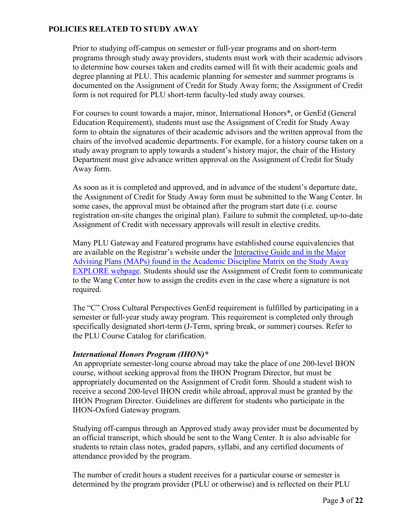Prior to studying off-campus on semester or full-year programs and on short-term programs through study away providers, students must work with their academic advisors to determine how courses taken and credits earned will fit with their academic goals and degree planning at PLU. This academic planning for semester and summer programs is documented on the Assignment of Credit for Study Away form; the Assignment of Credit form is not required for PLU short-term faculty-led study away courses.

For courses to count towards a major, minor, International Honors\*, or GenEd (General Education Requirement), students must use the Assignment of Credit for Study Away form to obtain the signatures of their academic advisors and the written approval from the chairs of the involved academic departments. For example, for a history course taken on a study away program to apply towards a student's history major, the chair of the History Department must give advance written approval on the Assignment of Credit for Study Away form.

As soon as it is completed and approved, and in advance of the student's departure date, the Assignment of Credit for Study Away form must be submitted to the Wang Center. In some cases, the approval must be obtained after the program start date (i.e. course registration on-site changes the original plan). Failure to submit the completed, up-to-date Assignment of Credit with necessary approvals will result in elective credits.

Many PLU Gateway and Featured programs have established course equivalencies that are available on the Registrar's website under the [Interactive Guide](http://www.plu.edu/registrar/equivalency-guides/interactive-guide/?state=DTAS%7bSA%7b#eg) and in the Major Advising Plans (MAPs) found in the Academic Discipline Matrix on the Study Away [EXPLORE webpage.](https://www.plu.edu/studyaway/explore/) Students should use the Assignment of Credit form to communicate to the Wang Center how to assign the credits even in the case where a signature is not required.

The "C" Cross Cultural Perspectives GenEd requirement is fulfilled by participating in a semester or full-year study away program. This requirement is completed only through specifically designated short-term (J-Term, spring break, or summer) courses. Refer to the PLU Course Catalog for clarification.

#### *International Honors Program (IHON)\**

An appropriate semester-long course abroad may take the place of one 200-level IHON course, without seeking approval from the IHON Program Director, but must be appropriately documented on the Assignment of Credit form. Should a student wish to receive a second 200-level IHON credit while abroad, approval must be granted by the IHON Program Director. Guidelines are different for students who participate in the IHON-Oxford Gateway program.

Studying off-campus through an Approved study away provider must be documented by an official transcript, which should be sent to the Wang Center. It is also advisable for students to retain class notes, graded papers, syllabi, and any certified documents of attendance provided by the program.

The number of credit hours a student receives for a particular course or semester is determined by the program provider (PLU or otherwise) and is reflected on their PLU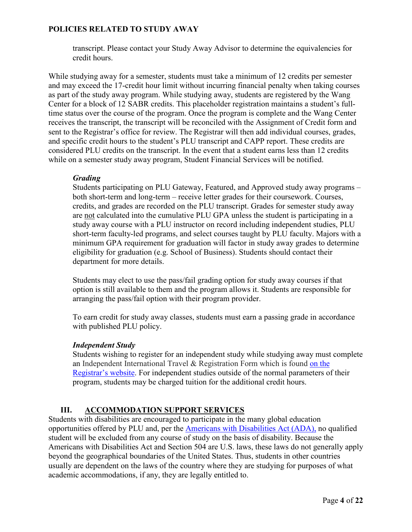transcript. Please contact your Study Away Advisor to determine the equivalencies for credit hours.

While studying away for a semester, students must take a minimum of 12 credits per semester and may exceed the 17-credit hour limit without incurring financial penalty when taking courses as part of the study away program. While studying away, students are registered by the Wang Center for a block of 12 SABR credits. This placeholder registration maintains a student's fulltime status over the course of the program. Once the program is complete and the Wang Center receives the transcript, the transcript will be reconciled with the Assignment of Credit form and sent to the Registrar's office for review. The Registrar will then add individual courses, grades, and specific credit hours to the student's PLU transcript and CAPP report. These credits are considered PLU credits on the transcript. In the event that a student earns less than 12 credits while on a semester study away program, Student Financial Services will be notified.

#### *Grading*

Students participating on PLU Gateway, Featured, and Approved study away programs – both short-term and long-term – receive letter grades for their coursework. Courses, credits, and grades are recorded on the PLU transcript. Grades for semester study away are not calculated into the cumulative PLU GPA unless the student is participating in a study away course with a PLU instructor on record including independent studies, PLU short-term faculty-led programs, and select courses taught by PLU faculty. Majors with a minimum GPA requirement for graduation will factor in study away grades to determine eligibility for graduation (e.g. School of Business). Students should contact their department for more details.

Students may elect to use the pass/fail grading option for study away courses if that option is still available to them and the program allows it. Students are responsible for arranging the pass/fail option with their program provider.

To earn credit for study away classes, students must earn a passing grade in accordance with published PLU policy.

#### *Independent Study*

Students wishing to register for an independent study while studying away must complete an Independent International Travel & Registration Form which is found [on the](https://www.plu.edu/registrar/documents/)  [Registrar's website.](https://www.plu.edu/registrar/documents/) For independent studies outside of the normal parameters of their program, students may be charged tuition for the additional credit hours.

# **III. ACCOMMODATION SUPPORT SERVICES**

<span id="page-3-0"></span>Students with disabilities are encouraged to participate in the many global education opportunities offered by PLU and, per the [Americans with Disabilities Act \(ADA\),](https://www.eeoc.gov/statutes/ada-amendments-act-2008) no qualified student will be excluded from any course of study on the basis of disability. Because the Americans with Disabilities Act and Section 504 are U.S. laws, these laws do not generally apply beyond the geographical boundaries of the United States. Thus, students in other countries usually are dependent on the laws of the country where they are studying for purposes of what academic accommodations, if any, they are legally entitled to.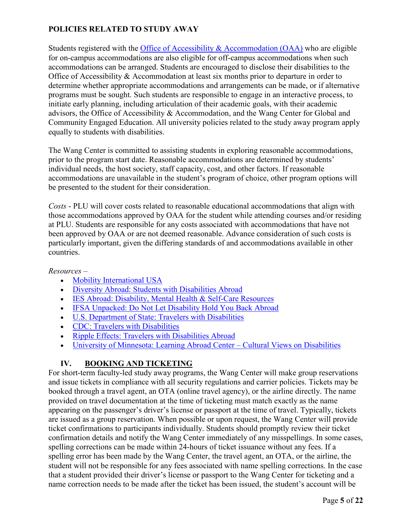Students registered with the [Office of Accessibility & Accommodation](https://www.plu.edu/oaa/study-away/) (OAA) who are eligible for on-campus accommodations are also eligible for off-campus accommodations when such accommodations can be arranged. Students are encouraged to disclose their disabilities to the Office of Accessibility & Accommodation at least six months prior to departure in order to determine whether appropriate accommodations and arrangements can be made, or if alternative programs must be sought. Such students are responsible to engage in an interactive process, to initiate early planning, including articulation of their academic goals, with their academic advisors, the Office of Accessibility & Accommodation, and the Wang Center for Global and Community Engaged Education. All university policies related to the study away program apply equally to students with disabilities.

The Wang Center is committed to assisting students in exploring reasonable accommodations, prior to the program start date. Reasonable accommodations are determined by students' individual needs, the host society, staff capacity, cost, and other factors. If reasonable accommodations are unavailable in the student's program of choice, other program options will be presented to the student for their consideration.

*Costs* - PLU will cover costs related to reasonable educational accommodations that align with those accommodations approved by OAA for the student while attending courses and/or residing at PLU. Students are responsible for any costs associated with accommodations that have not been approved by OAA or are not deemed reasonable. Advance consideration of such costs is particularly important, given the differing standards of and accommodations available in other countries.

*Resources –* 

- [Mobility International USA](http://www.miusa.org/ncde/goingabroad)
- [Diversity Abroad: Students with Disabilities Abroad](https://www.diversityabroad.com/articles/students-disabilities-abroad/)
- [IES Abroad: Disability, Mental Health & Self-Care Resources](https://www.iesabroad.org/student-diversity-access/resources/social-identity/health)
- [IFSA Unpacked: Do Not Let Disability Hold You Back Abroad](https://www.ifsa-butler.org/student-story/do-not-let-disability-hold-you-back-abroad/)
- [U.S. Department of State: Travelers with Disabilities](https://travel.state.gov/content/travel/en/international-travel/before-you-go/travelers-with-special-considerations/traveling-with-disabilties.html)
- CDC: [Travelers with Disabilities](https://wwwnc.cdc.gov/travel/yellowbook/2020/travelers-with-additional-considerations/travelers-with-disabilities)
- [Ripple Effects: Travelers with Disabilities Abroad](https://soundcloud.com/mobilityinternationalusa)
- [University of Minnesota: Learning Abroad Center Cultural Views on Disabilities](https://umabroad.umn.edu/students/identity/disabilities/accessibilityabroad)

# **IV. BOOKING AND TICKETING**

<span id="page-4-0"></span>For short-term faculty-led study away programs, the Wang Center will make group reservations and issue tickets in compliance with all security regulations and carrier policies. Tickets may be booked through a travel agent, an OTA (online travel agency), or the airline directly. The name provided on travel documentation at the time of ticketing must match exactly as the name appearing on the passenger's driver's license or passport at the time of travel. Typically, tickets are issued as a group reservation. When possible or upon request, the Wang Center will provide ticket confirmations to participants individually. Students should promptly review their ticket confirmation details and notify the Wang Center immediately of any misspellings. In some cases, spelling corrections can be made within 24-hours of ticket issuance without any fees. If a spelling error has been made by the Wang Center, the travel agent, an OTA, or the airline, the student will not be responsible for any fees associated with name spelling corrections. In the case that a student provided their driver's license or passport to the Wang Center for ticketing and a name correction needs to be made after the ticket has been issued, the student's account will be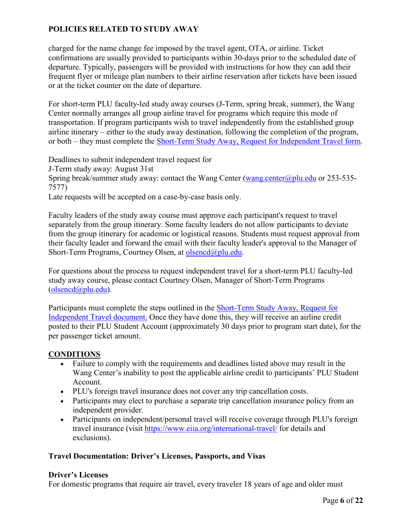charged for the name change fee imposed by the travel agent, OTA, or airline. Ticket confirmations are usually provided to participants within 30-days prior to the scheduled date of departure. Typically, passengers will be provided with instructions for how they can add their frequent flyer or mileage plan numbers to their airline reservation after tickets have been issued or at the ticket counter on the date of departure.

For short-term PLU faculty-led study away courses (J-Term, spring break, summer), the Wang Center normally arranges all group airline travel for programs which require this mode of transportation. If program participants wish to travel independently from the established group airline itinerary – either to the study away destination, following the completion of the program, or both – they must complete the [Short-Term Study Away, Request for Independent Travel form.](https://plu.formstack.com/forms/shortterm_study_away_request_for_independent_travel)

Deadlines to submit independent travel request for

J-Term study away: August 31st

Spring break/summer study away: contact the Wang Center [\(wang.center@plu.edu](mailto:wang.center@plu.edu) or 253-535-7577)

Late requests will be accepted on a case-by-case basis only.

Faculty leaders of the study away course must approve each participant's request to travel separately from the group itinerary. Some faculty leaders do not allow participants to deviate from the group itinerary for academic or logistical reasons. Students must request approval from their faculty leader and forward the email with their faculty leader's approval to the Manager of Short-Term Programs, Courtney Olsen, at [olsencd@plu.edu.](mailto:olsencd@plu.edu)

For questions about the process to request independent travel for a short-term PLU faculty-led study away course, please contact Courtney Olsen, Manager of Short-Term Programs [\(olsencd@plu.edu\)](mailto:olsencd@plu.edu).

Participants must complete the steps outlined in the [Short-Term Study Away, Request for](https://docs.google.com/document/d/1ipAks_5ExE4qwhczNuE2z9NH-QtX_BbSk_NEQKvpfks/edit)  [Independent Travel document.](https://docs.google.com/document/d/1ipAks_5ExE4qwhczNuE2z9NH-QtX_BbSk_NEQKvpfks/edit) Once they have done this, they will receive an airline credit posted to their PLU Student Account (approximately 30 days prior to program start date), for the per passenger ticket amount.

### **CONDITIONS**

- Failure to comply with the requirements and deadlines listed above may result in the Wang Center's inability to post the applicable airline credit to participants' PLU Student Account.
- PLU's foreign travel insurance does not cover any trip cancellation costs.
- Participants may elect to purchase a separate trip cancellation insurance policy from an independent provider.
- Participants on independent/personal travel will receive coverage through PLU's foreign travel insurance (visit<https://www.eiia.org/international-travel/> for details and exclusions).

### <span id="page-5-0"></span>**Travel Documentation: Driver's Licenses, Passports, and Visas**

#### **Driver's Licenses**

For domestic programs that require air travel, every traveler 18 years of age and older must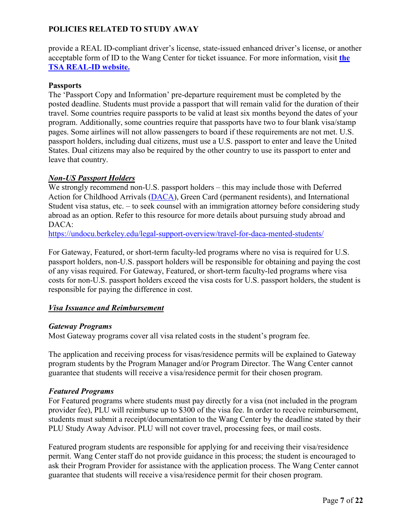provide a REAL ID-compliant driver's license, state-issued enhanced driver's license, or another acceptable form of ID to the Wang Center for ticket issuance. For more information, visit **[the](https://www.tsa.gov/real-id)  [TSA REAL-ID website.](https://www.tsa.gov/real-id)**

#### **Passports**

The 'Passport Copy and Information' pre-departure requirement must be completed by the posted deadline. Students must provide a passport that will remain valid for the duration of their travel. Some countries require passports to be valid at least six months beyond the dates of your program. Additionally, some countries require that passports have two to four blank visa/stamp pages. Some airlines will not allow passengers to board if these requirements are not met. U.S. passport holders, including dual citizens, must use a U.S. passport to enter and leave the United States. Dual citizens may also be required by the other country to use its passport to enter and leave that country.

#### <span id="page-6-0"></span>*Non-US Passport Holders*

We strongly recommend non-U.S. passport holders – this may include those with Deferred Action for Childhood Arrivals [\(DACA\)](http://www.uscis.gov/humanitarian/consideration-deferred-action-childhood-arrivals-daca), Green Card (permanent residents), and International Student visa status, etc. – to seek counsel with an immigration attorney before considering study abroad as an option. Refer to this resource for more details about pursuing study abroad and DACA:

[https://undocu.berkeley.edu/legal-support-overview/travel-for-daca-mented-students/](https://www.google.com/url?q=https://undocu.berkeley.edu/legal-support-overview/travel-for-daca-mented-students/&sa=D&source=editors&ust=1618930076668000&usg=AOvVaw3SeQHL1tZXeZ10DCx8pks3)

For Gateway, Featured, or short-term faculty-led programs where no visa is required for U.S. passport holders, non-U.S. passport holders will be responsible for obtaining and paying the cost of any visas required. For Gateway, Featured, or short-term faculty-led programs where visa costs for non-U.S. passport holders exceed the visa costs for U.S. passport holders, the student is responsible for paying the difference in cost.

### <span id="page-6-1"></span>*Visa Issuance and Reimbursement*

#### <span id="page-6-2"></span>*Gateway Programs*

Most Gateway programs cover all visa related costs in the student's program fee.

The application and receiving process for visas/residence permits will be explained to Gateway program students by the Program Manager and/or Program Director. The Wang Center cannot guarantee that students will receive a visa/residence permit for their chosen program.

#### <span id="page-6-3"></span>*Featured Programs*

For Featured programs where students must pay directly for a visa (not included in the program provider fee), PLU will reimburse up to \$300 of the visa fee. In order to receive reimbursement, students must submit a receipt/documentation to the Wang Center by the deadline stated by their PLU Study Away Advisor. PLU will not cover travel, processing fees, or mail costs.

Featured program students are responsible for applying for and receiving their visa/residence permit. Wang Center staff do not provide guidance in this process; the student is encouraged to ask their Program Provider for assistance with the application process. The Wang Center cannot guarantee that students will receive a visa/residence permit for their chosen program.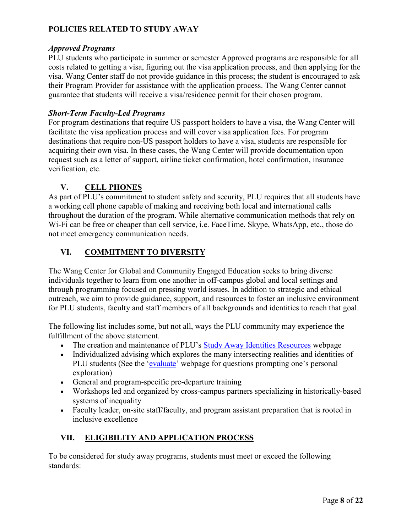#### *Approved Programs*

PLU students who participate in summer or semester Approved programs are responsible for all costs related to getting a visa, figuring out the visa application process, and then applying for the visa. Wang Center staff do not provide guidance in this process; the student is encouraged to ask their Program Provider for assistance with the application process. The Wang Center cannot guarantee that students will receive a visa/residence permit for their chosen program.

#### *Short-Term Faculty-Led Programs*

For program destinations that require US passport holders to have a visa, the Wang Center will facilitate the visa application process and will cover visa application fees. For program destinations that require non-US passport holders to have a visa, students are responsible for acquiring their own visa. In these cases, the Wang Center will provide documentation upon request such as a letter of support, airline ticket confirmation, hotel confirmation, insurance verification, etc.

### **V. CELL PHONES**

<span id="page-7-0"></span>As part of PLU's commitment to student safety and security, PLU requires that all students have a working cell phone capable of making and receiving both local and international calls throughout the duration of the program. While alternative communication methods that rely on Wi-Fi can be free or cheaper than cell service, i.e. FaceTime, Skype, WhatsApp, etc., those do not meet emergency communication needs.

### <span id="page-7-1"></span>**VI. COMMITMENT TO DIVERSITY**

The Wang Center for Global and Community Engaged Education seeks to bring diverse individuals together to learn from one another in off-campus global and local settings and through programming focused on pressing world issues. In addition to strategic and ethical outreach, we aim to provide guidance, support, and resources to foster an inclusive environment for PLU students, faculty and staff members of all backgrounds and identities to reach that goal.

The following list includes some, but not all, ways the PLU community may experience the fulfillment of the above statement.

- The creation and maintenance of PLU's [Study Away Identities Resources](https://www.plu.edu/studyaway/studyabroad/identity-resources/) webpage
- Individualized advising which explores the many intersecting realities and identities of PLU students (See the ['evaluate'](https://www.plu.edu/studyaway/evaluate/) webpage for questions prompting one's personal exploration)
- General and program-specific pre-departure training
- Workshops led and organized by cross-campus partners specializing in historically-based systems of inequality
- Faculty leader, on-site staff/faculty, and program assistant preparation that is rooted in inclusive excellence

# <span id="page-7-2"></span>**VII. ELIGIBILITY AND APPLICATION PROCESS**

To be considered for study away programs, students must meet or exceed the following standards: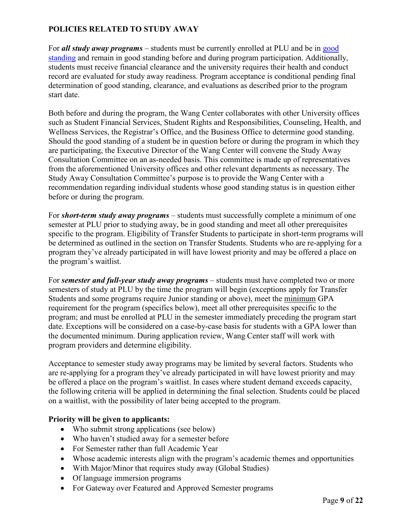For *all study away programs* – students must be currently enrolled at PLU and be in [good](https://www.plu.edu/catalog-2020-2021/undergraduate-program/#good-standing)  [standing](https://www.plu.edu/catalog-2020-2021/undergraduate-program/#good-standing) and remain in good standing before and during program participation. Additionally, students must receive financial clearance and the university requires their health and conduct record are evaluated for study away readiness. Program acceptance is conditional pending final determination of good standing, clearance, and evaluations as described prior to the program start date.

Both before and during the program, the Wang Center collaborates with other University offices such as Student Financial Services, Student Rights and Responsibilities, Counseling, Health, and Wellness Services, the Registrar's Office, and the Business Office to determine good standing. Should the good standing of a student be in question before or during the program in which they are participating, the Executive Director of the Wang Center will convene the Study Away Consultation Committee on an as-needed basis. This committee is made up of representatives from the aforementioned University offices and other relevant departments as necessary. The Study Away Consultation Committee's purpose is to provide the Wang Center with a recommendation regarding individual students whose good standing status is in question either before or during the program.

For *short-term study away programs* – students must successfully complete a minimum of one semester at PLU prior to studying away, be in good standing and meet all other prerequisites specific to the program. Eligibility of Transfer Students to participate in short-term programs will be determined as outlined in the section on Transfer Students. Students who are re-applying for a program they've already participated in will have lowest priority and may be offered a place on the program's waitlist.

For *semester and full-year study away programs* – students must have completed two or more semesters of study at PLU by the time the program will begin (exceptions apply for Transfer Students and some programs require Junior standing or above), meet the minimum GPA requirement for the program (specifics below), meet all other prerequisites specific to the program; and must be enrolled at PLU in the semester immediately preceding the program start date. Exceptions will be considered on a case-by-case basis for students with a GPA lower than the documented minimum. During application review, Wang Center staff will work with program providers and determine eligibility.

Acceptance to semester study away programs may be limited by several factors. Students who are re-applying for a program they've already participated in will have lowest priority and may be offered a place on the program's waitlist. In cases where student demand exceeds capacity, the following criteria will be applied in determining the final selection. Students could be placed on a waitlist, with the possibility of later being accepted to the program.

### **Priority will be given to applicants:**

- Who submit strong applications (see below)
- Who haven't studied away for a semester before
- For Semester rather than full Academic Year
- Whose academic interests align with the program's academic themes and opportunities
- With Major/Minor that requires study away (Global Studies)
- Of language immersion programs
- For Gateway over Featured and Approved Semester programs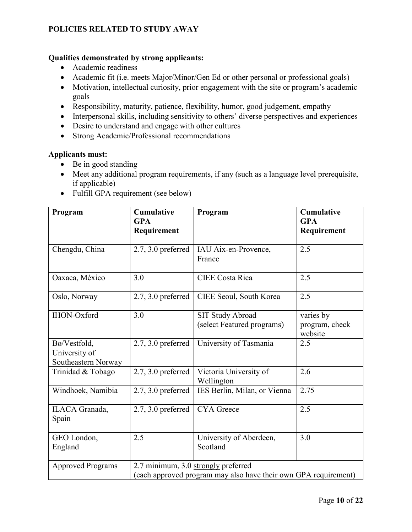#### **Qualities demonstrated by strong applicants:**

- Academic readiness
- Academic fit (i.e. meets Major/Minor/Gen Ed or other personal or professional goals)
- Motivation, intellectual curiosity, prior engagement with the site or program's academic goals
- Responsibility, maturity, patience, flexibility, humor, good judgement, empathy
- Interpersonal skills, including sensitivity to others' diverse perspectives and experiences
- Desire to understand and engage with other cultures
- Strong Academic/Professional recommendations

#### **Applicants must:**

- Be in good standing
- Meet any additional program requirements, if any (such as a language level prerequisite, if applicable)
- Fulfill GPA requirement (see below)

| Program                                                                                                                            | <b>Cumulative</b><br><b>GPA</b><br>Requirement | Program                                        | <b>Cumulative</b><br><b>GPA</b><br>Requirement |
|------------------------------------------------------------------------------------------------------------------------------------|------------------------------------------------|------------------------------------------------|------------------------------------------------|
|                                                                                                                                    |                                                |                                                |                                                |
| Chengdu, China                                                                                                                     | $2.7, 3.0$ preferred                           | IAU Aix-en-Provence,<br>France                 | 2.5                                            |
| Oaxaca, México                                                                                                                     | 3.0                                            | <b>CIEE</b> Costa Rica                         | 2.5                                            |
| Oslo, Norway                                                                                                                       | $2.7, 3.0$ preferred                           | CIEE Seoul, South Korea                        | 2.5                                            |
| <b>IHON-Oxford</b>                                                                                                                 | 3.0                                            | SIT Study Abroad<br>(select Featured programs) | varies by<br>program, check<br>website         |
| Bø/Vestfold,<br>University of<br>Southeastern Norway                                                                               | $2.7, 3.0$ preferred                           | University of Tasmania                         | 2.5                                            |
| Trinidad & Tobago                                                                                                                  | $2.7, 3.0$ preferred                           | Victoria University of<br>Wellington           | 2.6                                            |
| Windhoek, Namibia                                                                                                                  | $2.7, 3.0$ preferred                           | IES Berlin, Milan, or Vienna                   | 2.75                                           |
| ILACA Granada,<br>Spain                                                                                                            | $2.7, 3.0$ preferred                           | <b>CYA</b> Greece                              | 2.5                                            |
| GEO London,<br>England                                                                                                             | 2.5                                            | University of Aberdeen,<br>Scotland            | 3.0                                            |
| 2.7 minimum, 3.0 strongly preferred<br><b>Approved Programs</b><br>(each approved program may also have their own GPA requirement) |                                                |                                                |                                                |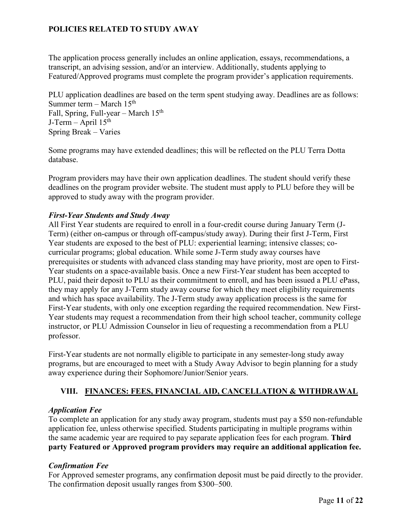The application process generally includes an online application, essays, recommendations, a transcript, an advising session, and/or an interview. Additionally, students applying to Featured/Approved programs must complete the program provider's application requirements.

PLU application deadlines are based on the term spent studying away. Deadlines are as follows: Summer term – March  $15<sup>th</sup>$ Fall, Spring, Full-year – March  $15<sup>th</sup>$ J-Term – April  $15<sup>th</sup>$ Spring Break – Varies

Some programs may have extended deadlines; this will be reflected on the PLU Terra Dotta database.

Program providers may have their own application deadlines. The student should verify these deadlines on the program provider website. The student must apply to PLU before they will be approved to study away with the program provider.

#### <span id="page-10-0"></span>*First-Year Students and Study Away*

All First Year students are required to enroll in a four-credit course during January Term (J-Term) (either on-campus or through off-campus/study away). During their first J-Term, First Year students are exposed to the best of PLU: experiential learning; intensive classes; cocurricular programs; global education. While some J-Term study away courses have prerequisites or students with advanced class standing may have priority, most are open to First-Year students on a space-available basis. Once a new First-Year student has been accepted to PLU, paid their deposit to PLU as their commitment to enroll, and has been issued a PLU ePass, they may apply for any J-Term study away course for which they meet eligibility requirements and which has space availability. The J-Term study away application process is the same for First-Year students, with only one exception regarding the required recommendation. New First-Year students may request a recommendation from their high school teacher, community college instructor, or PLU Admission Counselor in lieu of requesting a recommendation from a PLU professor.

First-Year students are not normally eligible to participate in any semester-long study away programs, but are encouraged to meet with a Study Away Advisor to begin planning for a study away experience during their Sophomore/Junior/Senior years.

### <span id="page-10-1"></span>**VIII. FINANCES: FEES, FINANCIAL AID, CANCELLATION & WITHDRAWAL**

### <span id="page-10-2"></span>*Application Fee*

To complete an application for any study away program, students must pay a \$50 non-refundable application fee, unless otherwise specified. Students participating in multiple programs within the same academic year are required to pay separate application fees for each program. **Third party Featured or Approved program providers may require an additional application fee.** 

### *Confirmation Fee*

For Approved semester programs, any confirmation deposit must be paid directly to the provider. The confirmation deposit usually ranges from \$300–500.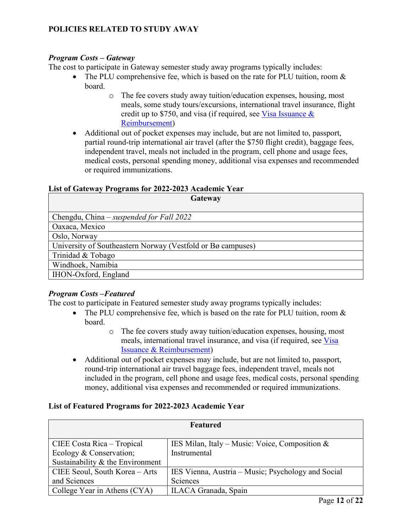#### <span id="page-11-0"></span>*Program Costs – Gateway*

The cost to participate in Gateway semester study away programs typically includes:

- The PLU comprehensive fee, which is based on the rate for PLU tuition, room  $\&$ board.
	- o The fee covers study away tuition/education expenses, housing, most meals, some study tours/excursions, international travel insurance, flight credit up to \$750, and visa (if required, see Visa Issuance  $\&$ [Reimbursement\)](#page-6-2)
- Additional out of pocket expenses may include, but are not limited to, passport, partial round-trip international air travel (after the \$750 flight credit), baggage fees, independent travel, meals not included in the program, cell phone and usage fees, medical costs, personal spending money, additional visa expenses and recommended or required immunizations.

#### **List of Gateway Programs for 2022-2023 Academic Year**

| Gateway                                                     |  |  |
|-------------------------------------------------------------|--|--|
|                                                             |  |  |
| Chengdu, China – suspended for Fall 2022                    |  |  |
| Oaxaca, Mexico                                              |  |  |
| Oslo, Norway                                                |  |  |
| University of Southeastern Norway (Vestfold or Bø campuses) |  |  |
| Trinidad & Tobago                                           |  |  |
| Windhoek, Namibia                                           |  |  |
| <b>IHON-Oxford</b> , England                                |  |  |

### <span id="page-11-1"></span>*Program Costs –Featured*

The cost to participate in Featured semester study away programs typically includes:

- The PLU comprehensive fee, which is based on the rate for PLU tuition, room  $\&$ board.
	- o The fee covers study away tuition/education expenses, housing, most meals, international travel insurance, and visa (if required, see [Visa](#page-6-3)  [Issuance & Reimbursement\)](#page-6-3)
- Additional out of pocket expenses may include, but are not limited to, passport, round-trip international air travel baggage fees, independent travel, meals not included in the program, cell phone and usage fees, medical costs, personal spending money, additional visa expenses and recommended or required immunizations.

#### **List of Featured Programs for 2022-2023 Academic Year**

| Featured                           |                                                    |  |  |  |
|------------------------------------|----------------------------------------------------|--|--|--|
| CIEE Costa Rica – Tropical         | IES Milan, Italy – Music: Voice, Composition $\&$  |  |  |  |
| Ecology & Conservation;            | Instrumental                                       |  |  |  |
| Sustainability $&$ the Environment |                                                    |  |  |  |
| CIEE Seoul, South Korea - Arts     | IES Vienna, Austria – Music; Psychology and Social |  |  |  |
| and Sciences                       | Sciences                                           |  |  |  |
| College Year in Athens (CYA)       | ILACA Granada, Spain                               |  |  |  |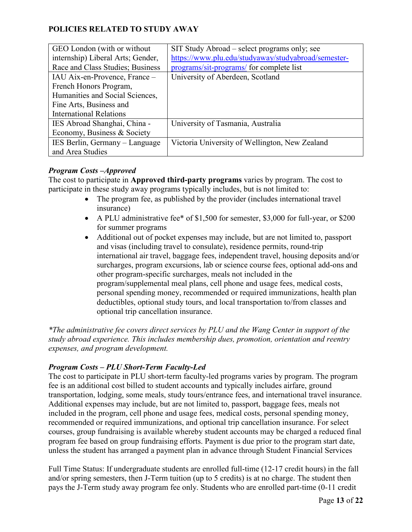| GEO London (with or without)      | SIT Study Abroad – select programs only; see        |
|-----------------------------------|-----------------------------------------------------|
| internship) Liberal Arts; Gender, | https://www.plu.edu/studyaway/studyabroad/semester- |
| Race and Class Studies; Business  | programs/sit-programs/ for complete list            |
| IAU Aix-en-Provence, France -     | University of Aberdeen, Scotland                    |
| French Honors Program,            |                                                     |
| Humanities and Social Sciences,   |                                                     |
| Fine Arts, Business and           |                                                     |
| <b>International Relations</b>    |                                                     |
| IES Abroad Shanghai, China -      | University of Tasmania, Australia                   |
| Economy, Business & Society       |                                                     |
| IES Berlin, Germany - Language    | Victoria University of Wellington, New Zealand      |
| and Area Studies                  |                                                     |

### <span id="page-12-0"></span>*Program Costs –Approved*

The cost to participate in **Approved third-party programs** varies by program. The cost to participate in these study away programs typically includes, but is not limited to:

- The program fee, as published by the provider (includes international travel insurance)
- A PLU administrative fee\* of \$1,500 for semester, \$3,000 for full-year, or \$200 for summer programs
- Additional out of pocket expenses may include, but are not limited to, passport and visas (including travel to consulate), residence permits, round-trip international air travel, baggage fees, independent travel, housing deposits and/or surcharges, program excursions, lab or science course fees, optional add-ons and other program-specific surcharges, meals not included in the program/supplemental meal plans, cell phone and usage fees, medical costs, personal spending money, recommended or required immunizations, health plan deductibles, optional study tours, and local transportation to/from classes and optional trip cancellation insurance.

*\*The administrative fee covers direct services by PLU and the Wang Center in support of the study abroad experience. This includes membership dues, promotion, orientation and reentry expenses, and program development.* 

### <span id="page-12-1"></span>*Program Costs – PLU Short-Term Faculty-Led*

The cost to participate in PLU short-term faculty-led programs varies by program. The program fee is an additional cost billed to student accounts and typically includes airfare, ground transportation, lodging, some meals, study tours/entrance fees, and international travel insurance. Additional expenses may include, but are not limited to, passport, baggage fees, meals not included in the program, cell phone and usage fees, medical costs, personal spending money, recommended or required immunizations, and optional trip cancellation insurance. For select courses, group fundraising is available whereby student accounts may be charged a reduced final program fee based on group fundraising efforts. Payment is due prior to the program start date, unless the student has arranged a payment plan in advance through Student Financial Services

Full Time Status: If undergraduate students are enrolled full-time (12-17 credit hours) in the fall and/or spring semesters, then J-Term tuition (up to 5 credits) is at no charge. The student then pays the J-Term study away program fee only. Students who are enrolled part-time (0-11 credit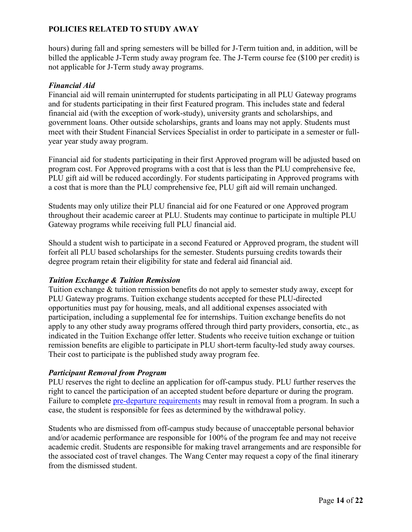hours) during fall and spring semesters will be billed for J-Term tuition and, in addition, will be billed the applicable J-Term study away program fee. The J-Term course fee (\$100 per credit) is not applicable for J-Term study away programs.

### <span id="page-13-0"></span>*Financial Aid*

Financial aid will remain uninterrupted for students participating in all PLU Gateway programs and for students participating in their first Featured program. This includes state and federal financial aid (with the exception of work-study), university grants and scholarships, and government loans. Other outside scholarships, grants and loans may not apply. Students must meet with their Student Financial Services Specialist in order to participate in a semester or fullyear year study away program.

Financial aid for students participating in their first Approved program will be adjusted based on program cost. For Approved programs with a cost that is less than the PLU comprehensive fee, PLU gift aid will be reduced accordingly. For students participating in Approved programs with a cost that is more than the PLU comprehensive fee, PLU gift aid will remain unchanged.

Students may only utilize their PLU financial aid for one Featured or one Approved program throughout their academic career at PLU. Students may continue to participate in multiple PLU Gateway programs while receiving full PLU financial aid.

Should a student wish to participate in a second Featured or Approved program, the student will forfeit all PLU based scholarships for the semester. Students pursuing credits towards their degree program retain their eligibility for state and federal aid financial aid.

### <span id="page-13-1"></span>*Tuition Exchange & Tuition Remission*

Tuition exchange & tuition remission benefits do not apply to semester study away, except for PLU Gateway programs. Tuition exchange students accepted for these PLU-directed opportunities must pay for housing, meals, and all additional expenses associated with participation, including a supplemental fee for internships. Tuition exchange benefits do not apply to any other study away programs offered through third party providers, consortia, etc., as indicated in the Tuition Exchange offer letter. Students who receive tuition exchange or tuition remission benefits are eligible to participate in PLU short-term faculty-led study away courses. Their cost to participate is the published study away program fee.

### <span id="page-13-2"></span>*Participant Removal from Program*

PLU reserves the right to decline an application for off-campus study. PLU further reserves the right to cancel the participation of an accepted student before departure or during the program. Failure to complete [pre-departure requirements](#page-19-2) may result in removal from a program. In such a case, the student is responsible for fees as determined by the withdrawal policy.

Students who are dismissed from off-campus study because of unacceptable personal behavior and/or academic performance are responsible for 100% of the program fee and may not receive academic credit. Students are responsible for making travel arrangements and are responsible for the associated cost of travel changes. The Wang Center may request a copy of the final itinerary from the dismissed student.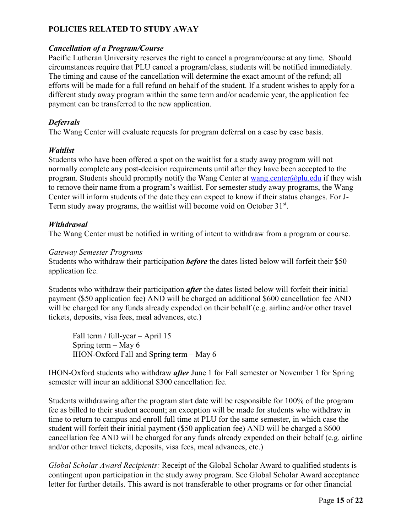#### <span id="page-14-0"></span>*Cancellation of a Program/Course*

Pacific Lutheran University reserves the right to cancel a program/course at any time. Should circumstances require that PLU cancel a program/class, students will be notified immediately. The timing and cause of the cancellation will determine the exact amount of the refund; all efforts will be made for a full refund on behalf of the student. If a student wishes to apply for a different study away program within the same term and/or academic year, the application fee payment can be transferred to the new application.

#### <span id="page-14-1"></span>*Deferrals*

The Wang Center will evaluate requests for program deferral on a case by case basis.

#### <span id="page-14-2"></span>*Waitlist*

Students who have been offered a spot on the waitlist for a study away program will not normally complete any post-decision requirements until after they have been accepted to the program. Students should promptly notify the Wang Center at wang center  $\omega$  plue du if they wish to remove their name from a program's waitlist. For semester study away programs, the Wang Center will inform students of the date they can expect to know if their status changes. For J-Term study away programs, the waitlist will become void on October 31st.

#### <span id="page-14-3"></span>*Withdrawal*

The Wang Center must be notified in writing of intent to withdraw from a program or course.

#### *Gateway Semester Programs*

Students who withdraw their participation *before* the dates listed below will forfeit their \$50 application fee.

Students who withdraw their participation *after* the dates listed below will forfeit their initial payment (\$50 application fee) AND will be charged an additional \$600 cancellation fee AND will be charged for any funds already expended on their behalf (e.g. airline and/or other travel tickets, deposits, visa fees, meal advances, etc.)

Fall term / full-year – April 15 Spring term – May 6 IHON-Oxford Fall and Spring term – May 6

IHON-Oxford students who withdraw *after* June 1 for Fall semester or November 1 for Spring semester will incur an additional \$300 cancellation fee.

Students withdrawing after the program start date will be responsible for 100% of the program fee as billed to their student account; an exception will be made for students who withdraw in time to return to campus and enroll full time at PLU for the same semester, in which case the student will forfeit their initial payment (\$50 application fee) AND will be charged a \$600 cancellation fee AND will be charged for any funds already expended on their behalf (e.g. airline and/or other travel tickets, deposits, visa fees, meal advances, etc.)

*Global Scholar Award Recipients:* Receipt of the Global Scholar Award to qualified students is contingent upon participation in the study away program. See Global Scholar Award acceptance letter for further details. This award is not transferable to other programs or for other financial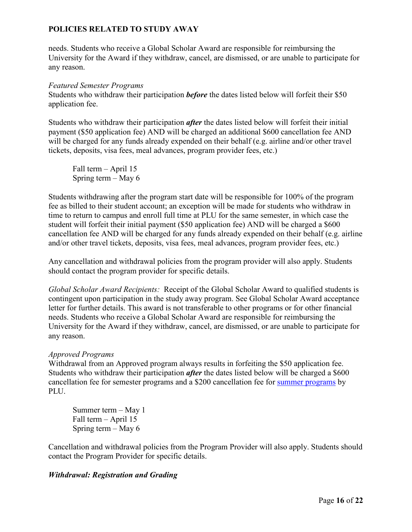needs. Students who receive a Global Scholar Award are responsible for reimbursing the University for the Award if they withdraw, cancel, are dismissed, or are unable to participate for any reason.

#### *Featured Semester Programs*

Students who withdraw their participation *before* the dates listed below will forfeit their \$50 application fee.

Students who withdraw their participation *after* the dates listed below will forfeit their initial payment (\$50 application fee) AND will be charged an additional \$600 cancellation fee AND will be charged for any funds already expended on their behalf (e.g. airline and/or other travel tickets, deposits, visa fees, meal advances, program provider fees, etc.)

Fall term – April 15 Spring term – May 6

Students withdrawing after the program start date will be responsible for 100% of the program fee as billed to their student account; an exception will be made for students who withdraw in time to return to campus and enroll full time at PLU for the same semester, in which case the student will forfeit their initial payment (\$50 application fee) AND will be charged a \$600 cancellation fee AND will be charged for any funds already expended on their behalf (e.g. airline and/or other travel tickets, deposits, visa fees, meal advances, program provider fees, etc.)

Any cancellation and withdrawal policies from the program provider will also apply. Students should contact the program provider for specific details.

*Global Scholar Award Recipients:* Receipt of the Global Scholar Award to qualified students is contingent upon participation in the study away program. See Global Scholar Award acceptance letter for further details. This award is not transferable to other programs or for other financial needs. Students who receive a Global Scholar Award are responsible for reimbursing the University for the Award if they withdraw, cancel, are dismissed, or are unable to participate for any reason.

### *Approved Programs*

Withdrawal from an Approved program always results in forfeiting the \$50 application fee. Students who withdraw their participation *after* the dates listed below will be charged a \$600 cancellation fee for semester programs and a \$200 cancellation fee for [summer programs](#page-21-1) by PLU.

Summer term – May 1 Fall term – April 15 Spring term – May 6

Cancellation and withdrawal policies from the Program Provider will also apply. Students should contact the Program Provider for specific details.

### *Withdrawal: Registration and Grading*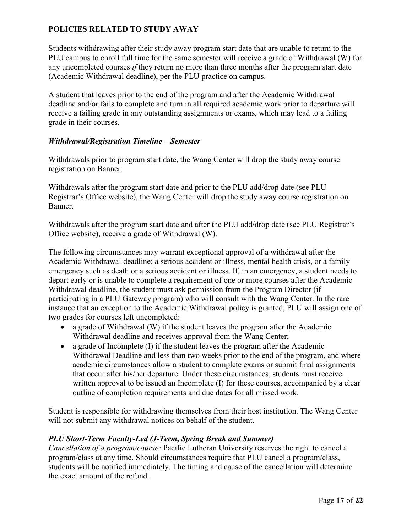Students withdrawing after their study away program start date that are unable to return to the PLU campus to enroll full time for the same semester will receive a grade of Withdrawal (W) for any uncompleted courses *if* they return no more than three months after the program start date (Academic Withdrawal deadline), per the PLU practice on campus.

A student that leaves prior to the end of the program and after the Academic Withdrawal deadline and/or fails to complete and turn in all required academic work prior to departure will receive a failing grade in any outstanding assignments or exams, which may lead to a failing grade in their courses.

#### <span id="page-16-0"></span>*Withdrawal/Registration Timeline – Semester*

Withdrawals prior to program start date, the Wang Center will drop the study away course registration on Banner.

Withdrawals after the program start date and prior to the PLU add/drop date (see PLU Registrar's Office website), the Wang Center will drop the study away course registration on Banner.

Withdrawals after the program start date and after the PLU add/drop date (see PLU Registrar's Office website), receive a grade of Withdrawal (W).

The following circumstances may warrant exceptional approval of a withdrawal after the Academic Withdrawal deadline: a serious accident or illness, mental health crisis, or a family emergency such as death or a serious accident or illness. If, in an emergency, a student needs to depart early or is unable to complete a requirement of one or more courses after the Academic Withdrawal deadline, the student must ask permission from the Program Director (if participating in a PLU Gateway program) who will consult with the Wang Center. In the rare instance that an exception to the Academic Withdrawal policy is granted, PLU will assign one of two grades for courses left uncompleted:

- a grade of Withdrawal (W) if the student leaves the program after the Academic Withdrawal deadline and receives approval from the Wang Center;
- a grade of Incomplete (I) if the student leaves the program after the Academic Withdrawal Deadline and less than two weeks prior to the end of the program, and where academic circumstances allow a student to complete exams or submit final assignments that occur after his/her departure. Under these circumstances, students must receive written approval to be issued an Incomplete (I) for these courses, accompanied by a clear outline of completion requirements and due dates for all missed work.

Student is responsible for withdrawing themselves from their host institution. The Wang Center will not submit any withdrawal notices on behalf of the student.

### *PLU Short-Term Faculty-Led (J-Term, Spring Break and Summer)*

*Cancellation of a program/course:* Pacific Lutheran University reserves the right to cancel a program/class at any time. Should circumstances require that PLU cancel a program/class, students will be notified immediately. The timing and cause of the cancellation will determine the exact amount of the refund.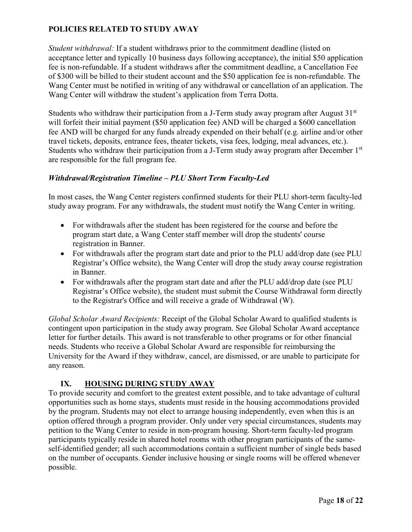*Student withdrawal:* If a student withdraws prior to the commitment deadline (listed on acceptance letter and typically 10 business days following acceptance), the initial \$50 application fee is non-refundable. If a student withdraws after the commitment deadline, a Cancellation Fee of \$300 will be billed to their student account and the \$50 application fee is non-refundable. The Wang Center must be notified in writing of any withdrawal or cancellation of an application. The Wang Center will withdraw the student's application from Terra Dotta.

Students who withdraw their participation from a J-Term study away program after August  $31<sup>st</sup>$ will forfeit their initial payment (\$50 application fee) AND will be charged a \$600 cancellation fee AND will be charged for any funds already expended on their behalf (e.g. airline and/or other travel tickets, deposits, entrance fees, theater tickets, visa fees, lodging, meal advances, etc.). Students who withdraw their participation from a J-Term study away program after December 1<sup>st</sup> are responsible for the full program fee.

### <span id="page-17-0"></span>*Withdrawal/Registration Timeline – PLU Short Term Faculty-Led*

In most cases, the Wang Center registers confirmed students for their PLU short-term faculty-led study away program. For any withdrawals, the student must notify the Wang Center in writing.

- For withdrawals after the student has been registered for the course and before the program start date, a Wang Center staff member will drop the students' course registration in Banner.
- For withdrawals after the program start date and prior to the PLU add/drop date (see PLU Registrar's Office website), the Wang Center will drop the study away course registration in Banner.
- For withdrawals after the program start date and after the PLU add/drop date (see PLU Registrar's Office website), the student must submit the Course Withdrawal form directly to the Registrar's Office and will receive a grade of Withdrawal (W).

*Global Scholar Award Recipients:* Receipt of the Global Scholar Award to qualified students is contingent upon participation in the study away program. See Global Scholar Award acceptance letter for further details. This award is not transferable to other programs or for other financial needs. Students who receive a Global Scholar Award are responsible for reimbursing the University for the Award if they withdraw, cancel, are dismissed, or are unable to participate for any reason.

### **IX. HOUSING DURING STUDY AWAY**

<span id="page-17-1"></span>To provide security and comfort to the greatest extent possible, and to take advantage of cultural opportunities such as home stays, students must reside in the housing accommodations provided by the program. Students may not elect to arrange housing independently, even when this is an option offered through a program provider. Only under very special circumstances, students may petition to the Wang Center to reside in non-program housing. Short-term faculty-led program participants typically reside in shared hotel rooms with other program participants of the sameself-identified gender; all such accommodations contain a sufficient number of single beds based on the number of occupants. Gender inclusive housing or single rooms will be offered whenever possible.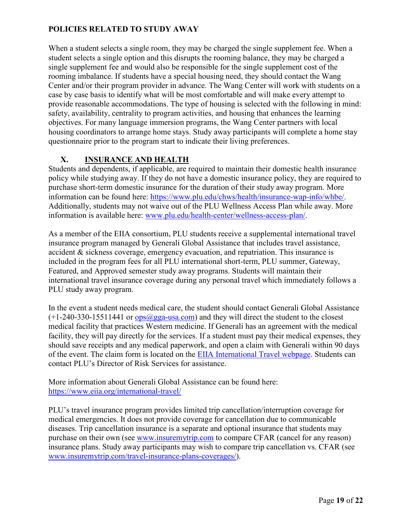When a student selects a single room, they may be charged the single supplement fee. When a student selects a single option and this disrupts the rooming balance, they may be charged a single supplement fee and would also be responsible for the single supplement cost of the rooming imbalance. If students have a special housing need, they should contact the Wang Center and/or their program provider in advance. The Wang Center will work with students on a case by case basis to identify what will be most comfortable and will make every attempt to provide reasonable accommodations. The type of housing is selected with the following in mind: safety, availability, centrality to program activities, and housing that enhances the learning objectives. For many language immersion programs, the Wang Center partners with local housing coordinators to arrange home stays. Study away participants will complete a home stay questionnaire prior to the program start to indicate their living preferences.

### **X. INSURANCE AND HEALTH**

<span id="page-18-0"></span>Students and dependents, if applicable, are required to maintain their domestic health insurance policy while studying away. If they do not have a domestic insurance policy, they are required to purchase short-term domestic insurance for the duration of their study away program. More information can be found here: [https://www.plu.edu/chws/health/insurance-wap-info/whbe/.](https://www.plu.edu/chws/health/insurance-wap-info/whbe/) Additionally, students may not waive out of the PLU Wellness Access Plan while away. More information is available here: [www.plu.edu/health-center/wellness-access-plan/.](http://www.plu.edu/health-center/wellness-access-plan/)

As a member of the EIIA consortium, PLU students receive a supplemental international travel insurance program managed by Generali Global Assistance that includes travel assistance, accident & sickness coverage, emergency evacuation, and repatriation. This insurance is included in the program fees for all PLU international short-term, PLU summer, Gateway, Featured, and Approved semester study away programs. Students will maintain their international travel insurance coverage during any personal travel which immediately follows a PLU study away program.

In the event a student needs medical care, the student should contact Generali Global Assistance  $(+1-240-330-15511441 \text{ or } \text{ops}(\omega)$  gga-usa.com) and they will direct the student to the closest medical facility that practices Western medicine. If Generali has an agreement with the medical facility, they will pay directly for the services. If a student must pay their medical expenses, they should save receipts and any medical paperwork, and open a claim with Generali within 90 days of the event. The claim form is located on the [EIIA International Travel webpage.](https://www.eiia.org/international-travel/) Students can contact PLU's Director of Risk Services for assistance.

More information about Generali Global Assistance can be found here: <https://www.eiia.org/international-travel/>

PLU's travel insurance program provides limited trip cancellation/interruption coverage for medical emergencies. It does not provide coverage for cancellation due to communicable diseases. Trip cancellation insurance is a separate and optional insurance that students may purchase on their own (see [www.insuremytrip.com](https://link.zixcentral.com/u/69218ef8/eq7GiWPq6xGZaUs3g-oQLQ?u=http%3A%2F%2Fwww.insuremytrip.com) to compare CFAR (cancel for any reason) insurance plans. Study away participants may wish to compare trip cancellation vs. CFAR (see [www.insuremytrip.com/travel-insurance-plans-coverages/\)](http://www.insuremytrip.com/travel-insurance-plans-coverages/).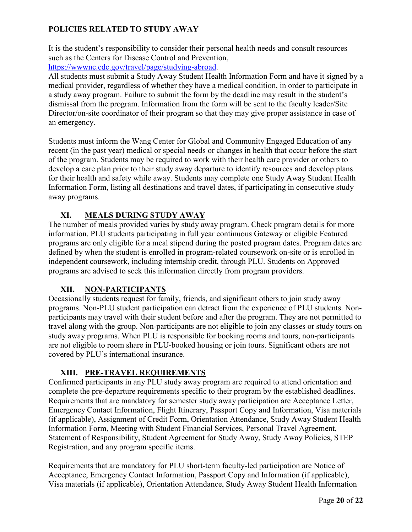It is the student's responsibility to consider their personal health needs and consult resources such as the Centers for Disease Control and Prevention,

[https://wwwnc.cdc.gov/travel/page/studying-abroad.](https://wwwnc.cdc.gov/travel/page/studying-abroad)

All students must submit a Study Away Student Health Information Form and have it signed by a medical provider, regardless of whether they have a medical condition, in order to participate in a study away program. Failure to submit the form by the deadline may result in the student's dismissal from the program. Information from the form will be sent to the faculty leader/Site Director/on-site coordinator of their program so that they may give proper assistance in case of an emergency.

Students must inform the Wang Center for Global and Community Engaged Education of any recent (in the past year) medical or special needs or changes in health that occur before the start of the program. Students may be required to work with their health care provider or others to develop a care plan prior to their study away departure to identify resources and develop plans for their health and safety while away. Students may complete one Study Away Student Health Information Form, listing all destinations and travel dates, if participating in consecutive study away programs.

# **XI. MEALS DURING STUDY AWAY**

<span id="page-19-0"></span>The number of meals provided varies by study away program. Check program details for more information. PLU students participating in full year continuous Gateway or eligible Featured programs are only eligible for a meal stipend during the posted program dates. Program dates are defined by when the student is enrolled in program-related coursework on-site or is enrolled in independent coursework, including internship credit, through PLU. Students on Approved programs are advised to seek this information directly from program providers.

# **XII. NON-PARTICIPANTS**

<span id="page-19-1"></span>Occasionally students request for family, friends, and significant others to join study away programs. Non-PLU student participation can detract from the experience of PLU students. Nonparticipants may travel with their student before and after the program. They are not permitted to travel along with the group. Non-participants are not eligible to join any classes or study tours on study away programs. When PLU is responsible for booking rooms and tours, non-participants are not eligible to room share in PLU-booked housing or join tours. Significant others are not covered by PLU's international insurance.

# **XIII. PRE-TRAVEL REQUIREMENTS**

<span id="page-19-2"></span>Confirmed participants in any PLU study away program are required to attend orientation and complete the pre-departure requirements specific to their program by the established deadlines. Requirements that are mandatory for semester study away participation are Acceptance Letter, Emergency Contact Information, Flight Itinerary, Passport Copy and Information, Visa materials (if applicable), Assignment of Credit Form, Orientation Attendance, Study Away Student Health Information Form, Meeting with Student Financial Services, Personal Travel Agreement, Statement of Responsibility, Student Agreement for Study Away, Study Away Policies, STEP Registration, and any program specific items.

Requirements that are mandatory for PLU short-term faculty-led participation are Notice of Acceptance, Emergency Contact Information, Passport Copy and Information (if applicable), Visa materials (if applicable), Orientation Attendance, Study Away Student Health Information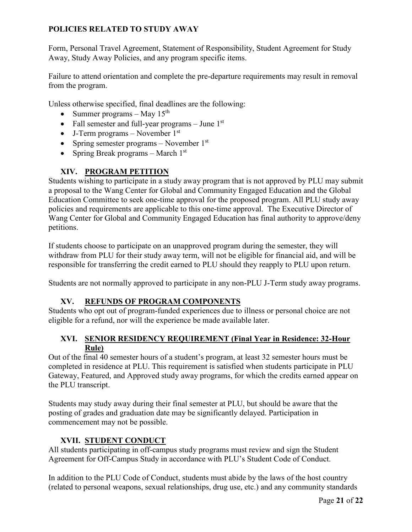Form, Personal Travel Agreement, Statement of Responsibility, Student Agreement for Study Away, Study Away Policies, and any program specific items.

Failure to attend orientation and complete the pre-departure requirements may result in removal from the program.

Unless otherwise specified, final deadlines are the following:

- Summer programs May  $15<sup>th</sup>$
- Fall semester and full-year programs  $-$  June  $1<sup>st</sup>$
- J-Term programs November  $1<sup>st</sup>$
- Spring semester programs November  $1<sup>st</sup>$
- Spring Break programs March  $1<sup>st</sup>$

# **XIV. PROGRAM PETITION**

<span id="page-20-0"></span>Students wishing to participate in a study away program that is not approved by PLU may submit a proposal to the Wang Center for Global and Community Engaged Education and the Global Education Committee to seek one-time approval for the proposed program. All PLU study away policies and requirements are applicable to this one-time approval. The Executive Director of Wang Center for Global and Community Engaged Education has final authority to approve/deny petitions.

If students choose to participate on an unapproved program during the semester, they will withdraw from PLU for their study away term, will not be eligible for financial aid, and will be responsible for transferring the credit earned to PLU should they reapply to PLU upon return.

Students are not normally approved to participate in any non-PLU J-Term study away programs.

### **XV. REFUNDS OF PROGRAM COMPONENTS**

<span id="page-20-1"></span>Students who opt out of program-funded experiences due to illness or personal choice are not eligible for a refund, nor will the experience be made available later.

### <span id="page-20-2"></span>**XVI. SENIOR RESIDENCY REQUIREMENT (Final Year in Residence: 32-Hour Rule)**

Out of the final 40 semester hours of a student's program, at least 32 semester hours must be completed in residence at PLU. This requirement is satisfied when students participate in PLU Gateway, Featured, and Approved study away programs, for which the credits earned appear on the PLU transcript.

Students may study away during their final semester at PLU, but should be aware that the posting of grades and graduation date may be significantly delayed. Participation in commencement may not be possible.

# **XVII. STUDENT CONDUCT**

<span id="page-20-3"></span>All students participating in off-campus study programs must review and sign the Student Agreement for Off-Campus Study in accordance with PLU's Student Code of Conduct.

In addition to the PLU Code of Conduct, students must abide by the laws of the host country (related to personal weapons, sexual relationships, drug use, etc.) and any community standards